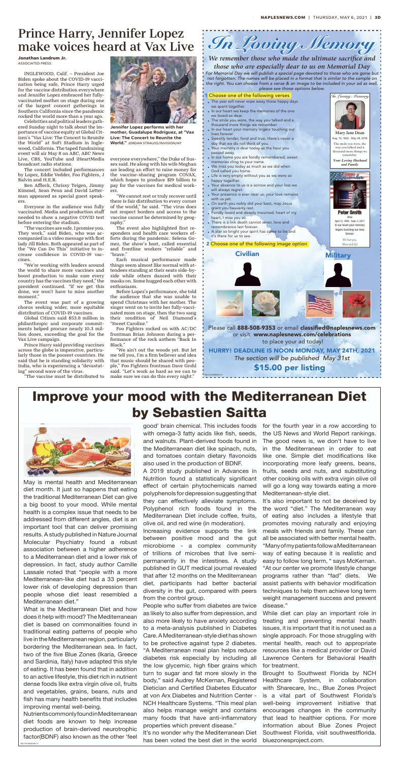ND-GCI0628433-01



*In Loving Memory*

### *We remember those who made the ultimate sacrifice and*

*those who are especially dear to us on Memorial Day* For Memorial Day we will publish a special page devoted to those who are gone but not forgotten. The names will be placed in a format that is similar to the sample on the right. You can choose from a verse & an image to be included in your ad as well. please see those options below.

#### **1** Choose one of the following verses

**Mary Jane Dean** Aug. 10, 1942 - May 28, 2018 The smile you wore, the way yo u talked an d a thousan d mor e things we remember. *Your Loving Husband*  $and$  **Family** Remember **ALWAYS** 

**Pete r Smit h** *Navy*<br>13, 1988 - Sept. 3, 2017 In ou r hear t your memory lingers touching our lives forever. We love you. Mom and Dad

- The year will never wipe away those happy days we spent together .
- In our heart we keep the memories of the one we loved so dear .
- The smile you wore, the way you talked and a thousand mor e things we remember .
- In our heart your memory lingers touching our lives forever .
- Sweetly tender, fond and true, there's never a
- day that we do not think of you. Your memory is dear today as the hour you
- passed away. .<br>In our home vou are fondly remembered, sweet
- memories cling to your name.
- We miss you today as much as we did when God called you home.
- Life is very empty without you as we wer e so happy together.
- Your absence to us is a sorrow and your loss we will always regret.
- Your presence is ever near us; your love remains with us yet.
- On earth you nobly did your best, may Jesus grant you heavenly rest.
- Fondly loved and deeply mourned; heart of my heart, I miss you so.
- Ther e is a link death cannot sever, love and remembrance last forever .
- A star so bright your spirit has come to be and it' s ther e for us to see.
- **2** Choose one of the following image option

Please call **888-508-9353** or email **classi fied@naplesnews.com** or visit **www.naplesnews.com/celebrations** to place your ad today! **HURRY! DEADLINE IS NOON MONDAY, MAY 24TH, 2021** The section will be published May 31st

**\$15.00 per listing**

### **Civilian Military**



*In Loving Memory*

May is mental health and Mediterranean diet month. It just so happens that eating the traditional Mediterranean Diet can give a big boost to your mood. While mental health is a complex issue that needs to be addressed from different angles, diet is an important tool that can deliver promising results. A study published in Natur e Journal Molecular Psychiatry found a robust association between a higher adherence to a Mediterranean diet and a lower risk of depression. In fact, study author Camille Lassale noted that "people with a more Mediterranean-like diet had a 33 percent lower risk of developing depression than people whose diet least resembled a Mediterranean diet. "

with omega-3 fatty acids like fish, seeds, the US News and World Report rankings. and walnuts. Plant-derived foods found in The good news is, we don' t have to live the Mediterranean diet like spinach, nuts, in the Mediterranean in order to eat

ND-GCI0644482-01 NutrientscommonlyfoundinMediterranean diet foods ar e known to help increase production of brain-derived neurotrophic factor(BDNF) also known as the other 'feel

What is the Mediterranean Diet and how does it help with mood? The Mediterranean diet is based on commonalities found in traditional eating patterns of people who live in the Mediterranean region, particularly bordering the Mediterranean sea. In fact, two of the five Blue Zones (Ikaria, Greece and Sardinia, Italy) have adapted this style of eating. It has been found that in addition to an active lifestyle, this diet rich in nutrient dense foods like extra virgin olive oil, fruits and vegetables, grains, beans, nuts and fish has many health benefits that includes improving mental well-being.

and tomatoes contain dietary flavonoids also used in the production of BDNF.

A 2019 study published in Advances in Nutrition found a statistically signi ficant effect of certain phytochemicals named polyphenols for depression suggesting that they can effectively alleviate symptoms. Polyphenol rich foods found in the Mediterranean Diet include coffee, fruits, olive oil, and re d wine (in moderation). Increasing evidence supports the link between positive mood and the gut microbiome - a complex community of trillions of microbes that live semipermanently in the intestines. A study

published in GUT medical journal revealed that after 12 months on the Mediterranean diet, participants had better bacterial diversity in the gut, compared with peers from the control group.

good' brain chemical. This includes foods for the fourth year in a ro w according to

People who suffer from diabetes ar e twice as likely to also suffer from depression, and also mor e likely to have anxiety according to a meta-analysis published in Diabetes Care. AMediterranean-stylediethasshown to be protective against type 2 diabetes. "A Mediterranean meal plan helps reduce diabetes risk especially by including all the low glycemic, high fiber grains which tur n to sugar and fat mor e slowly in the body , " said Audrey McKernan, Registered Dietician and Certi fied Diabetes Educator at von Arx Diabetes and Nutrition Center - NCH Healthcar e Systems. "This meal plan also helps manage weight and contains many foods that have anti-in flammatory properties which prevent disease. "

It' s no wonder why the Mediterranean Diet has been voted the best diet in the world

like one. Simple diet modi fications like incorporating mor e leafy greens, beans, fruits, seeds and nuts, and substituting other cooking oils with extra virgin olive oil will go a long way towards eating a more Mediterranean-style diet.

It' s also important to not be deceived by the wor d "diet. " The Mediterranean way of eating also includes a lifestyle that promotes moving naturally and enjoying meals with friends and family . These can all be associated with better mental health. "Manyofmypatientsfollow aMediterranean way of eating because it is realistic and easy to follow long term, " says McKernan. "At our center we promote lifestyle change programs rather than "fad " diets. We assist patients with behavior modi fication techniques to help them achieve long term weight management success and prevent disease. "

While diet can play an important role in treating and preventing mental health issues, it is important that it is not used as a single approach. For those struggling with mental health, reach out to appropriate resources like a medical provider or David Lawrence Centers for Behavioral Health for treatment.

Brought to Southwest Florida by NCH Healthcar e System, in collaboration with Sharecare, Inc., Blue Zones Project is a vital part of Southwest Florida' s well-being improvement initiative that encourages changes in the community that lead to healthier options. For mor e information about Blue Zones Project Southwest Florida, visit southwest florida. bluezonesproject.com.

## **Improve your mood with the Mediterranean Diet by Sebastien Saitta**

INGLEWOOD, Calif. – President Joe Biden spoke about the COVID-19 vaccination being safe, Prince Harry urged for the vaccine distribution everywhere and Jennifer Lopez embraced her fullyvaccinated mother on stage during one of the largest concert gatherings in Southern California since the pandemic rocked the world more than a year ago.

Celebrities and political leaders gathered Sunday night to talk about the importance of vaccine equity at Global Citizen's "Vax Live: The Concert to Reunite the World" at SoFi Stadium in Inglewood, California. The taped fundraising event will air May 8 on ABC, ABC News Live, CBS, YouTube and iHeartMedia broadcast radio stations.

The concert included performances by Lopez, Eddie Vedder, Foo Fighters, J Balvin and H.E.R.

Ben Affleck, Chrissy Teigen, Jimmy Kimmel, Sean Penn and David Letterman appeared as special guest speakers.

Everyone in the audience was fully vaccinated. Media and production staff needed to show a negative COVID test before entering the stadium.

"The vaccines are safe. I promise you. They work," said Biden, who was accompanied in a video message with first lady Jill Biden. Both appeared as part of the "We Can Do This" initiative to increase confidence in COVID-19 vaccines.

"We're working with leaders around the world to share more vaccines and boost production to make sure every country has the vaccines they need," the president continued. "If we get this done, we won't have to miss another moment."

The event was part of a growing chorus seeking wider, more equitable distribution of COVID-19 vaccines.

Global Citizen said \$53.8 million in philanthropic and corporate commitments helped procure nearly 10.3 million doses, exceeding the goal for the Vax Live campaign.

Prince Harry said providing vaccines across the globe is imperative, particularly those in the poorest countries. He said that he is standing solidarity with India, who is experiencing a "devastating" second wave of the virus.

"The vaccine must be distributed to

everyone everywhere," the Duke of Sussex said. He along with his wife Meghan are leading an effort to raise money for the vaccine-sharing program COVAX, which hopes to produce \$19 billion to pay for the vaccines for medical workers.

"We cannot rest or truly recover until there is fair distribution to every corner of the world," he said. "The virus does not respect borders and access to the vaccine cannot be determined by geography."

The event also highlighted first responders and health care workers efforts during the pandemic. Selena Gomez, the show's host, called essential and frontline workers "reliable" and "brave."

Each musical performance made things seem almost like normal with attendees standing at their seats side-byside while others danced with their masks on. Some hugged each other with enthusiasm.

Before Lopez's performance, she told the audience that she was unable to spend Christmas with her mother. The singer went on to invite her fully-vaccinated mom on stage, then the two sang their rendition of Neil Diamond's "Sweet Caroline."

Foo Fighters rocked on with AC/DC frontman Brian Johnson during a performance of the rock anthem "Back In Black."

"We ain't out the woods yet. But let me tell you, I'm a firm believer and idea that music should be shared with people," Foo Fighters frontman Dave Grohl said. "Let's work as hard as we can to make sure we can do this every night."

## Prince Harry, Jennifer Lopez make voices heard at Vax Live

**Jonathan Landrum Jr.**  ASSOCIATED PRESS



**Jennifer Lopez performs with her mother, Guadalupe Rodríguez, at "Vax Live: The Concert to Reunite the World."** JORDAN STRAUSS/INVISION/AP